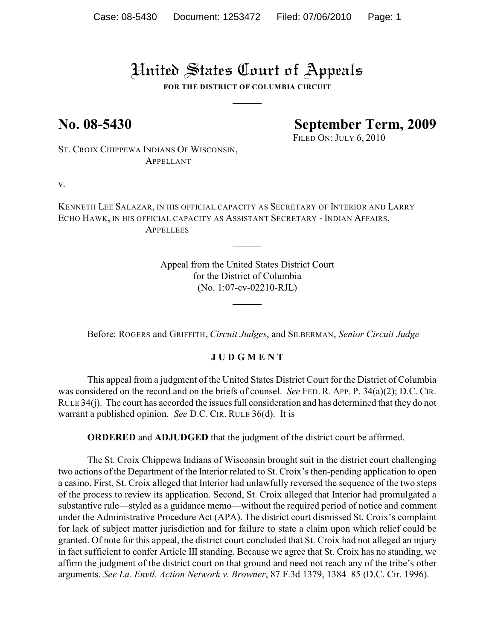# United States Court of Appeals

**FOR THE DISTRICT OF COLUMBIA CIRCUIT**

## **No. 08-5430 September Term, 2009**

FILED ON: JULY 6, 2010

ST. CROIX CHIPPEWA INDIANS OF WISCONSIN, APPELLANT

v.

KENNETH LEE SALAZAR, IN HIS OFFICIAL CAPACITY AS SECRETARY OF INTERIOR AND LARRY ECHO HAWK, IN HIS OFFICIAL CAPACITY AS ASSISTANT SECRETARY - INDIAN AFFAIRS, **APPELLEES** 

> Appeal from the United States District Court for the District of Columbia (No. 1:07-cv-02210-RJL)

Before: ROGERS and GRIFFITH, *Circuit Judges*, and SILBERMAN, *Senior Circuit Judge*

#### **J U D G M E N T**

This appeal from a judgment of the United States District Court for the District of Columbia was considered on the record and on the briefs of counsel. *See* FED. R. APP. P. 34(a)(2); D.C. CIR. RULE 34(j). The court has accorded the issues full consideration and has determined that they do not warrant a published opinion. *See* D.C. CIR. RULE 36(d). It is

**ORDERED** and **ADJUDGED** that the judgment of the district court be affirmed.

The St. Croix Chippewa Indians of Wisconsin brought suit in the district court challenging two actions of the Department of the Interior related to St. Croix's then-pending application to open a casino. First, St. Croix alleged that Interior had unlawfully reversed the sequence of the two steps of the process to review its application. Second, St. Croix alleged that Interior had promulgated a substantive rule—styled as a guidance memo—without the required period of notice and comment under the Administrative Procedure Act (APA). The district court dismissed St. Croix's complaint for lack of subject matter jurisdiction and for failure to state a claim upon which relief could be granted. Of note for this appeal, the district court concluded that St. Croix had not alleged an injury in fact sufficient to confer Article III standing. Because we agree that St. Croix has no standing, we affirm the judgment of the district court on that ground and need not reach any of the tribe's other arguments. *See La. Envtl. Action Network v. Browner*, 87 F.3d 1379, 1384–85 (D.C. Cir. 1996).